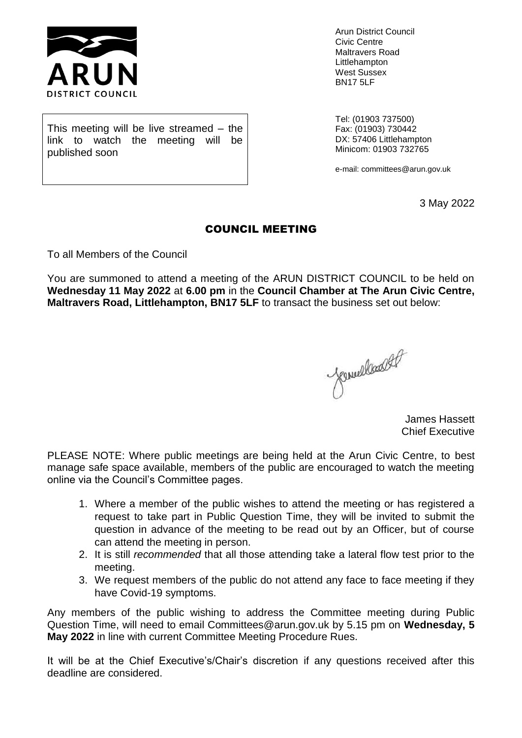

published soon

Arun District Council Civic Centre Maltravers Road Littlehampton West Sussex BN17 5LF

Tel: (01903 737500) Fax: (01903) 730442 DX: 57406 Littlehampton Minicom: 01903 732765

e-mail: committees@arun.gov.uk

3 May 2022

### COUNCIL MEETING

To all Members of the Council

This meeting will be live streamed – the link to watch the meeting will be

You are summoned to attend a meeting of the ARUN DISTRICT COUNCIL to be held on **Wednesday 11 May 2022** at **6.00 pm** in the **Council Chamber at The Arun Civic Centre, Maltravers Road, Littlehampton, BN17 5LF** to transact the business set out below:

Jemielland 4P

James Hassett Chief Executive

PLEASE NOTE: Where public meetings are being held at the Arun Civic Centre, to best manage safe space available, members of the public are encouraged to watch the meeting online via the Council's Committee pages.

- 1. Where a member of the public wishes to attend the meeting or has registered a request to take part in Public Question Time, they will be invited to submit the question in advance of the meeting to be read out by an Officer, but of course can attend the meeting in person.
- 2. It is still *recommended* that all those attending take a lateral flow test prior to the meeting.
- 3. We request members of the public do not attend any face to face meeting if they have Covid-19 symptoms.

Any members of the public wishing to address the Committee meeting during Public Question Time, will need to email Committees@arun.gov.uk by 5.15 pm on **Wednesday, 5 May 2022** in line with current Committee Meeting Procedure Rues.

It will be at the Chief Executive's/Chair's discretion if any questions received after this deadline are considered.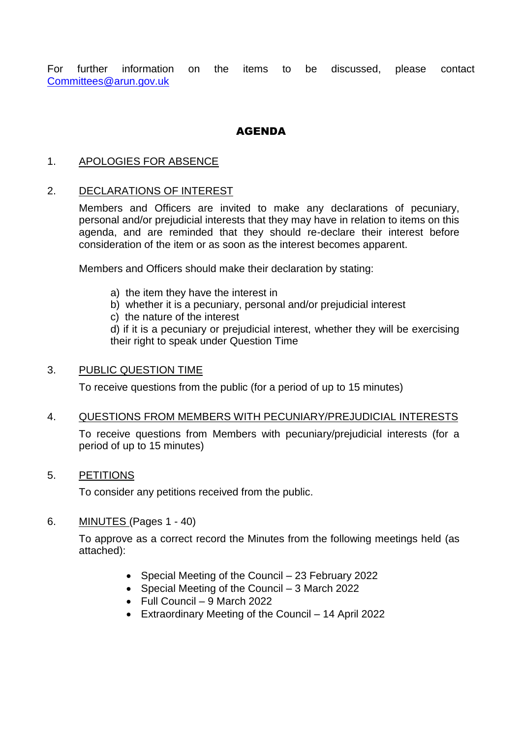For further information on the items to be discussed, please contact [Committees@arun.gov.uk](mailto:Committees@arun.gov.uk)

# **AGENDA**

# 1. APOLOGIES FOR ABSENCE

# 2. DECLARATIONS OF INTEREST

Members and Officers are invited to make any declarations of pecuniary, personal and/or prejudicial interests that they may have in relation to items on this agenda, and are reminded that they should re-declare their interest before consideration of the item or as soon as the interest becomes apparent.

Members and Officers should make their declaration by stating:

- a) the item they have the interest in
- b) whether it is a pecuniary, personal and/or prejudicial interest
- c) the nature of the interest

d) if it is a pecuniary or prejudicial interest, whether they will be exercising their right to speak under Question Time

# 3. PUBLIC QUESTION TIME

To receive questions from the public (for a period of up to 15 minutes)

# 4. QUESTIONS FROM MEMBERS WITH PECUNIARY/PREJUDICIAL INTERESTS

To receive questions from Members with pecuniary/prejudicial interests (for a period of up to 15 minutes)

# 5. PETITIONS

To consider any petitions received from the public.

# 6. MINUTES (Pages 1 - 40)

To approve as a correct record the Minutes from the following meetings held (as attached):

- Special Meeting of the Council 23 February 2022
- Special Meeting of the Council 3 March 2022
- Full Council 9 March 2022
- Extraordinary Meeting of the Council 14 April 2022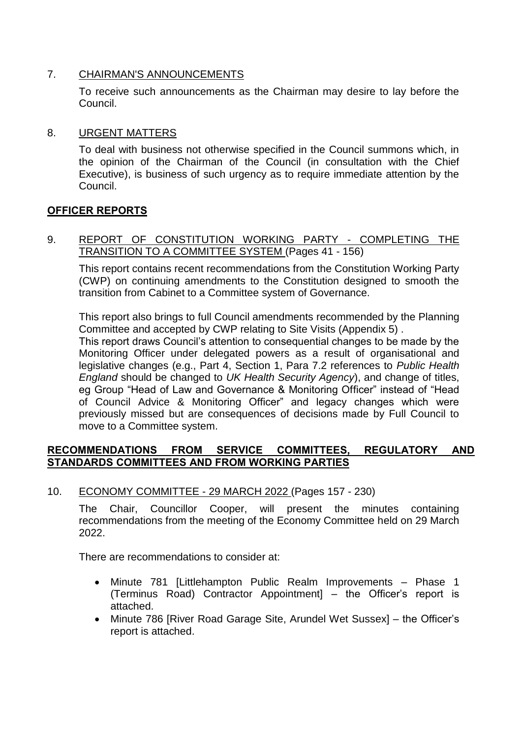# 7. CHAIRMAN'S ANNOUNCEMENTS

To receive such announcements as the Chairman may desire to lay before the Council.

# 8. URGENT MATTERS

To deal with business not otherwise specified in the Council summons which, in the opinion of the Chairman of the Council (in consultation with the Chief Executive), is business of such urgency as to require immediate attention by the Council.

# **OFFICER REPORTS**

9. REPORT OF CONSTITUTION WORKING PARTY - COMPLETING THE TRANSITION TO A COMMITTEE SYSTEM (Pages 41 - 156)

This report contains recent recommendations from the Constitution Working Party (CWP) on continuing amendments to the Constitution designed to smooth the transition from Cabinet to a Committee system of Governance.

This report also brings to full Council amendments recommended by the Planning Committee and accepted by CWP relating to Site Visits (Appendix 5) .

This report draws Council's attention to consequential changes to be made by the Monitoring Officer under delegated powers as a result of organisational and legislative changes (e.g., Part 4, Section 1, Para 7.2 references to *Public Health England* should be changed to *UK Health Security Agency*), and change of titles, eg Group "Head of Law and Governance & Monitoring Officer" instead of "Head of Council Advice & Monitoring Officer" and legacy changes which were previously missed but are consequences of decisions made by Full Council to move to a Committee system.

# **RECOMMENDATIONS FROM SERVICE COMMITTEES, REGULATORY AND STANDARDS COMMITTEES AND FROM WORKING PARTIES**

10. ECONOMY COMMITTEE - 29 MARCH 2022 (Pages 157 - 230)

The Chair, Councillor Cooper, will present the minutes containing recommendations from the meeting of the Economy Committee held on 29 March 2022.

There are recommendations to consider at:

- Minute 781 [Littlehampton Public Realm Improvements Phase 1 (Terminus Road) Contractor Appointment] – the Officer's report is attached.
- Minute 786 [River Road Garage Site, Arundel Wet Sussex] the Officer's report is attached.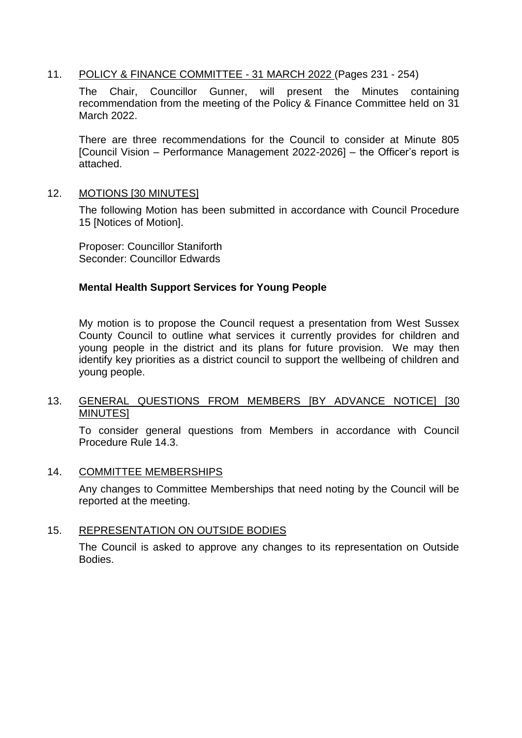# 11. POLICY & FINANCE COMMITTEE - 31 MARCH 2022 (Pages 231 - 254)

The Chair, Councillor Gunner, will present the Minutes containing recommendation from the meeting of the Policy & Finance Committee held on 31 March 2022.

There are three recommendations for the Council to consider at Minute 805 [Council Vision – Performance Management 2022-2026] – the Officer's report is attached.

#### 12. MOTIONS [30 MINUTES]

The following Motion has been submitted in accordance with Council Procedure 15 [Notices of Motion].

Proposer: Councillor Staniforth Seconder: Councillor Edwards

# **Mental Health Support Services for Young People**

My motion is to propose the Council request a presentation from West Sussex County Council to outline what services it currently provides for children and young people in the district and its plans for future provision. We may then identify key priorities as a district council to support the wellbeing of children and young people.

### 13. GENERAL QUESTIONS FROM MEMBERS [BY ADVANCE NOTICE] [30 **MINUTES1**

To consider general questions from Members in accordance with Council Procedure Rule 14.3.

#### 14. COMMITTEE MEMBERSHIPS

Any changes to Committee Memberships that need noting by the Council will be reported at the meeting.

#### 15. REPRESENTATION ON OUTSIDE BODIES

The Council is asked to approve any changes to its representation on Outside Bodies.